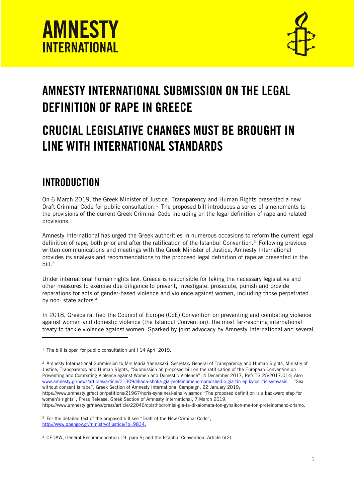



# AMNESTY INTERNATIONAL SUBMISSION ON THE LEGAL DEFINITION OF RAPE IN GREECE

## CRUCIAL LEGISLATIVE CHANGES MUST BE BROUGHT IN LINE WITH INTERNATIONAL STANDARDS

## INTRODUCTION

j

On 6 March 2019, the Greek Minister of Justice, Transparency and Human Rights presented a new Draft Criminal Code for public consultation.<sup>1</sup> The proposed bill introduces a series of amendments to the provisions of the current Greek Criminal Code including on the legal definition of rape and related provisions.

Amnesty International has urged the Greek authorities in numerous occasions to reform the current legal definition of rape, both prior and after the ratification of the Istanbul Convention.<sup>2</sup> Following previous written communications and meetings with the Greek Minister of Justice, Amnesty International provides its analysis and recommendations to the proposed legal definition of rape as presented in the bill. $3$ 

Under international human rights law, Greece is responsible for taking the necessary legislative and other measures to exercise due diligence to prevent, investigate, prosecute, punish and provide reparations for acts of gender-based violence and violence against women, including those perpetrated by non-state actors.<sup>4</sup>

In 2018, Greece ratified the Council of Europe (CoE) Convention on preventing and combating violence against women and domestic violence (the Istanbul Convention), the most far-reaching international treaty to tackle violence against women. Sparked by joint advocacy by Amnesty International and several

https://www.amnesty.gr/action/petitions/21967/horis-synainesi-einai-viasmos "The proposed definition is a backward step for women's rights", Press Release, Greek Section of Amnesty International, 7 March 2019,

https://www.amnesty.gr/news/press/article/22046/opisthodromisi-gia-ta-dikaiomata-ton-gynaikon-me-ton-proteinomeno-orismo.

<sup>3</sup> For the detailed text of the proposed bill see "Draft of the New Criminal Code", [http://www.opengov.gr/ministryofjustice/?p=9834.](http://www.opengov.gr/ministryofjustice/?p=9834)

<sup>4</sup> CEDAW, General Recommendation 19, para 9; and the Istanbul Convention, Article 5(2).

<sup>&</sup>lt;sup>1</sup> The bill is open for public consultation until 14 April 2019.

<sup>2</sup> Amnesty International Submission to Mrs Maria Yannakaki, Secretary General of Transparency and Human Rights, Ministry of Justice, Transparency and Human Rights, "Submission on proposed bill on the ratification of the European Convention on Preventing and Combating Violence against Women and Domestic Violence", 4 December 2017, Ref: TG 25/2017.014; Also [www.amnesty.gr/news/articles/article/21309/ellada-sholia-gia-proteinomeno-nomoshedio-gia-tin-epikyrosi-tis-symvasis](http://www.amnesty.gr/news/articles/article/21309/ellada-sholia-gia-proteinomeno-nomoshedio-gia-tin-epikyrosi-tis-symvasis). "Sex without consent is rape", Greek Section of Amnesty International Campaign, 22 January 2019;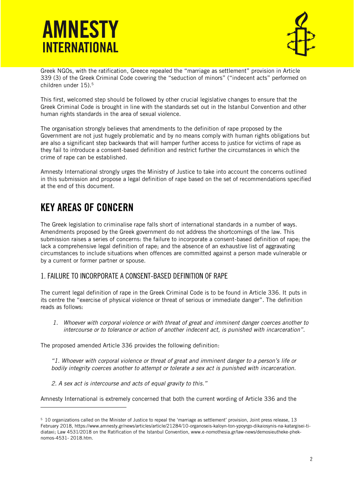



Greek NGOs, with the ratification, Greece repealed the "marriage as settlement" provision in Article 339 (3) of the Greek Criminal Code covering the "seduction of minors" ("indecent acts" performed on children under 15). 5

This first, welcomed step should be followed by other crucial legislative changes to ensure that the Greek Criminal Code is brought in line with the standards set out in the Istanbul Convention and other human rights standards in the area of sexual violence.

The organisation strongly believes that amendments to the definition of rape proposed by the Government are not just hugely problematic and by no means comply with human rights obligations but are also a significant step backwards that will hamper further access to justice for victims of rape as they fail to introduce a consent-based definition and restrict further the circumstances in which the crime of rape can be established.

Amnesty International strongly urges the Ministry of Justice to take into account the concerns outlined in this submission and propose a legal definition of rape based on the set of recommendations specified at the end of this document.

## KEY AREAS OF CONCERN

j

The Greek legislation to criminalise rape falls short of international standards in a number of ways. Amendments proposed by the Greek government do not address the shortcomings of the law. This submission raises a series of concerns: the failure to incorporate a consent-based definition of rape; the lack a comprehensive legal definition of rape; and the absence of an exhaustive list of aggravating circumstances to include situations when offences are committed against a person made vulnerable or by a current or former partner or spouse.

### 1. FAILURE TO INCORPORATE A CONSENT-BASED DEFINITION OF RAPE

The current legal definition of rape in the Greek Criminal Code is to be found in Article 336. It puts in its centre the "exercise of physical violence or threat of serious or immediate danger". The definition reads as follows:

*1. Whoever with corporal violence or with threat of great and imminent danger coerces another to intercourse or to tolerance or action of another indecent act, is punished with incarceration".*

The proposed amended Article 336 provides the following definition:

*"1. Whoever with corporal violence or threat of great and imminent danger to a person's life or bodily integrity coerces another to attempt or tolerate a sex act is punished with incarceration.*

*2. A sex act is intercourse and acts of equal gravity to this."*

Amnesty International is extremely concerned that both the current wording of Article 336 and the

<sup>5</sup> 10 organizations called on the Minister of Justice to repeal the 'marriage as settlement' provision, Joint press release, 13 February 2018, https://www.amnesty.gr/news/articles/article/21284/10-organoseis-kaloyn-ton-ypoyrgo-dikaiosynis-na-katargisei-tidiataxi; Law 4531/2018 on the Ratification of the Istanbul Convention, www.e-nomothesia.gr/law-news/demosieutheke-pheknomos-4531- 2018.htm.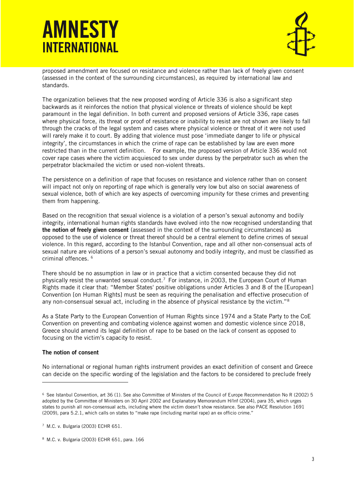# **AMNESTY INTERNATIONAL**



proposed amendment are focused on resistance and violence rather than lack of freely given consent (assessed in the context of the surrounding circumstances), as required by international law and standards.

The organization believes that the new proposed wording of Article 336 is also a significant step backwards as it reinforces the notion that physical violence or threats of violence should be kept paramount in the legal definition. In both current and proposed versions of Article 336, rape cases where physical force, its threat or proof of resistance or inability to resist are not shown are likely to fall through the cracks of the legal system and cases where physical violence or threat of it were not used will rarely make it to court. By adding that violence must pose 'immediate danger to life or physical integrity', the circumstances in which the crime of rape can be established by law are even more restricted than in the current definition. For example, the proposed version of Article 336 would not cover rape cases where the victim acquiesced to sex under duress by the perpetrator such as when the perpetrator blackmailed the victim or used non-violent threats.

The persistence on a definition of rape that focuses on resistance and violence rather than on consent will impact not only on reporting of rape which is generally very low but also on social awareness of sexual violence, both of which are key aspects of overcoming impunity for these crimes and preventing them from happening.

Based on the recognition that sexual violence is a violation of a person's sexual autonomy and bodily integrity, international human rights standards have evolved into the now recognised understanding that the notion of freely given consent (assessed in the context of the surrounding circumstances) as opposed to the use of violence or threat thereof should be a central element to define crimes of sexual violence. In this regard, according to the Istanbul Convention, rape and all other non-consensual acts of sexual nature are violations of a person's sexual autonomy and bodily integrity, and must be classified as criminal offences. <sup>6</sup>

There should be no assumption in law or in practice that a victim consented because they did not physically resist the unwanted sexual conduct.<sup>7</sup> For instance, in 2003, the European Court of Human Rights made it clear that: "Member States' positive obligations under Articles 3 and 8 of the [European] Convention [on Human Rights] must be seen as requiring the penalisation and effective prosecution of any non-consensual sexual act, including in the absence of physical resistance by the victim."<sup>8</sup>

As a State Party to the European Convention of Human Rights since 1974 and a State Party to the CoE Convention on preventing and combating violence against women and domestic violence since 2018, Greece should amend its legal definition of rape to be based on the lack of consent as opposed to focusing on the victim's capacity to resist.

#### The notion of consent

l

No international or regional human rights instrument provides an exact definition of consent and Greece can decide on the specific wording of the legislation and the factors to be considered to preclude freely

<sup>6</sup> See Istanbul Convention, art 36 (1). See also Committee of Ministers of the Council of Europe Recommendation No R (2002) 5 adopted by the Committee of Ministers on 30 April 2002 and Explanatory Memorandum H/Inf (2004), para 35, which urges states to punish all non-consensual acts, including where the victim doesn't show resistance. See also PACE Resolution 1691 (2009), para 5.2.1, which calls on states to "make rape (including marital rape) an ex officio crime."

<sup>7</sup> M.C. v. Bulgaria (2003) ECHR 651.

<sup>8</sup> M.C. v. Bulgaria (2003) ECHR 651, para. 166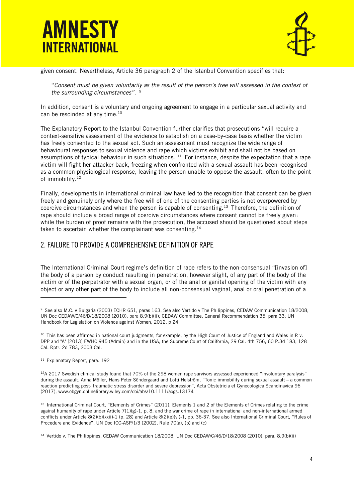



given consent. Nevertheless, Article 36 paragraph 2 of the Istanbul Convention specifies that:

"*Consent must be given voluntarily as the result of the person's free will assessed in the context of the surrounding circumstances".* 9

In addition, consent is a voluntary and ongoing agreement to engage in a particular sexual activity and can be rescinded at any time.<sup>10</sup>

The Explanatory Report to the Istanbul Convention further clarifies that prosecutions "will require a context-sensitive assessment of the evidence to establish on a case-by-case basis whether the victim has freely consented to the sexual act. Such an assessment must recognize the wide range of behavioural responses to sexual violence and rape which victims exhibit and shall not be based on assumptions of typical behaviour in such situations.  $11$  For instance, despite the expectation that a rape victim will fight her attacker back, freezing when confronted with a sexual assault has been recognised as a common physiological response, leaving the person unable to oppose the assault, often to the point of immobility.<sup>12</sup>

Finally, developments in international criminal law have led to the recognition that consent can be given freely and genuinely only where the free will of one of the consenting parties is not overpowered by coercive circumstances and when the person is capable of consenting.<sup>13</sup> Therefore, the definition of rape should include a broad range of coercive circumstances where consent cannot be freely given: while the burden of proof remains with the prosecution, the accused should be questioned about steps taken to ascertain whether the complainant was consenting.<sup>14</sup>

### 2. FAILURE TO PROVIDE A COMPREHENSIVE DEFINITION OF RAPE

The International Criminal Court regime's definition of rape refers to the non-consensual "[invasion of] the body of a person by conduct resulting in penetration, however slight, of any part of the body of the victim or of the perpetrator with a sexual organ, or of the anal or genital opening of the victim with any object or any other part of the body to include all non-consensual vaginal, anal or oral penetration of a

<sup>11</sup> Explanatory Report, para. 192

l

 $12A$  2017 Swedish clinical study found that 70% of the 298 women rape survivors assessed experienced "involuntary paralysis" during the assault. Anna Möller, Hans Peter Söndergaard and Lotti Helström, "Tonic immobility during sexual assault – a common reaction predicting post‐ traumatic stress disorder and severe depression", Acta Obstetricia et Gynecologica Scandinavica 96 (2017), www.obgyn.onlinelibrary.wiley.com/doi/abs/10.1111/aogs.13174

13 International Criminal Court, "Elements of Crimes" (2011), Elements 1 and 2 of the Elements of Crimes relating to the crime against humanity of rape under Article 7(1)(g)-1, p. 8, and the war crime of rape in international and non-international armed conflicts under Article 8(2)(b)(xxii)-1 (p. 28) and Article 8(2)(e)(vi)-1, pp. 36-37. See also International Criminal Court, "Rules of Procedure and Evidence", UN Doc ICC-ASP/1/3 (2002), Rule 70(a), (b) and (c)

<sup>14</sup> Vertido v. The Philippines, CEDAW Communication 18/2008, UN Doc CEDAW/C/46/D/18/2008 (2010), para. 8.9(b)(ii)

<sup>9</sup> See also M.C. v Bulgaria (2003) ECHR 651, paras 163. See also Vertido v The Philippines, CEDAW Communication 18/2008, UN Doc CEDAW/C/46/D/18/2008 (2010), para 8.9(b)(ii); CEDAW Committee, General Recommendation 35, para 33; UN Handbook for Legislation on Violence against Women, 2012, p 24

<sup>&</sup>lt;sup>10</sup> This has been affirmed in national court judgments, for example, by the High Court of Justice of England and Wales in R v. DPP and "A" [2013] EWHC 945 (Admin) and in the USA, the Supreme Court of California, 29 Cal. 4th 756, 60 P.3d 183, 128 Cal. Rptr. 2d 783, 2003 Cal.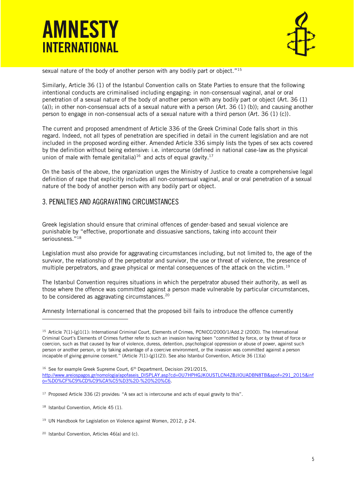



sexual nature of the body of another person with any bodily part or object." 15

Similarly, Article 36 (1) of the Istanbul Convention calls on State Parties to ensure that the following intentional conducts are criminalised including engaging: in non-consensual vaginal, anal or oral penetration of a sexual nature of the body of another person with any bodily part or object (Art. 36 (1) (a)); in other non-consensual acts of a sexual nature with a person (Art. 36 (1) (b)); and causing another person to engage in non-consensual acts of a sexual nature with a third person (Art. 36 (1) (c)).

The current and proposed amendment of Article 336 of the Greek Criminal Code falls short in this regard. Indeed, not all types of penetration are specified in detail in the current legislation and are not included in the proposed wording either. Amended Article 336 simply lists the types of sex acts covered by the definition without being extensive: i.e. intercourse (defined in national case-law as the physical union of male with female genitalia)<sup>16</sup> and acts of equal gravity.<sup>17</sup>

On the basis of the above, the organization urges the Ministry of Justice to create a comprehensive legal definition of rape that explicitly includes all non-consensual vaginal, anal or oral penetration of a sexual nature of the body of another person with any bodily part or object.

### 3. PENALTIES AND AGGRAVATING CIRCUMSTANCES

Greek legislation should ensure that criminal offences of gender-based and sexual violence are punishable by "effective, proportionate and dissuasive sanctions, taking into account their seriousness."<sup>18</sup>

Legislation must also provide for aggravating circumstances including, but not limited to, the age of the survivor, the relationship of the perpetrator and survivor, the use or threat of violence, the presence of multiple perpetrators, and grave physical or mental consequences of the attack on the victim.<sup>19</sup>

The Istanbul Convention requires situations in which the perpetrator abused their authority, as well as those where the offence was committed against a person made vulnerable by particular circumstances, to be considered as aggravating circumstances.<sup>20</sup>

Amnesty International is concerned that the proposed bill fails to introduce the offence currently

j

<sup>&</sup>lt;sup>15</sup> Article 7(1)-(g)1(1): International Criminal Court, Elements of Crimes, PCNICC/2000/1/Add.2 (2000). The International Criminal Court's Elements of Crimes further refer to such an invasion having been "committed by force, or by threat of force or coercion, such as that caused by fear of violence, duress, detention, psychological oppression or abuse of power, against such person or another person, or by taking advantage of a coercive environment, or the invasion was committed against a person incapable of giving genuine consent." (Article 7(1)-(g)1(2)). See also Istanbul Convention, Article 36 (1)(a)

<sup>&</sup>lt;sup>16</sup> See for example Greek Supreme Court, 6<sup>th</sup> Department, Decision 291/2015, [http://www.areiospagos.gr/nomologia/apofaseis\\_DISPLAY.asp?cd=0U7HPHGJK0USTLCN4ZBJI0UADBN8TB&apof=291\\_2015&inf](http://www.areiospagos.gr/nomologia/apofaseis_DISPLAY.asp?cd=0U7HPHGJK0USTLCN4ZBJI0UADBN8TB&apof=291_2015&info=%D0%CF%C9%CD%C9%CA%C5%D3%20-%20%20%C6) [o=%D0%CF%C9%CD%C9%CA%C5%D3%20-%20%20%C6.](http://www.areiospagos.gr/nomologia/apofaseis_DISPLAY.asp?cd=0U7HPHGJK0USTLCN4ZBJI0UADBN8TB&apof=291_2015&info=%D0%CF%C9%CD%C9%CA%C5%D3%20-%20%20%C6)

<sup>&</sup>lt;sup>17</sup> Proposed Article 336 (2) provides: "A sex act is intercourse and acts of equal gravity to this".

<sup>&</sup>lt;sup>18</sup> Istanbul Convention, Article 45 (1).

<sup>&</sup>lt;sup>19</sup> UN Handbook for Legislation on Violence against Women, 2012, p 24.

<sup>20</sup> Istanbul Convention, Articles 46(a) and (c).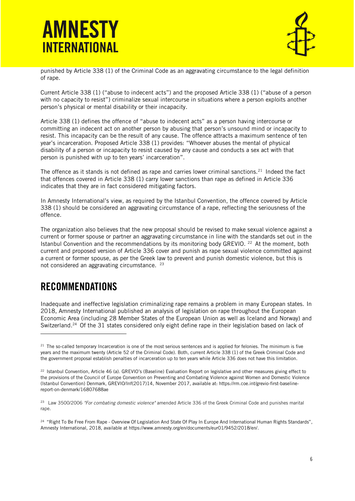



punished by Article 338 (1) of the Criminal Code as an aggravating circumstance to the legal definition of rape.

Current Article 338 (1) ("abuse to indecent acts") and the proposed Article 338 (1) ("abuse of a person with no capacity to resist") criminalize sexual intercourse in situations where a person exploits another person's physical or mental disability or their incapacity.

Article 338 (1) defines the offence of "abuse to indecent acts" as a person having intercourse or committing an indecent act on another person by abusing that person's unsound mind or incapacity to resist. This incapacity can be the result of any cause. The offence attracts a maximum sentence of ten year's incarceration. Proposed Article 338 (1) provides: "Whoever abuses the mental of physical disability of a person or incapacity to resist caused by any cause and conducts a sex act with that person is punished with up to ten years' incarceration".

The offence as it stands is not defined as rape and carries lower criminal sanctions.<sup>21</sup> Indeed the fact that offences covered in Article 338 (1) carry lower sanctions than rape as defined in Article 336 indicates that they are in fact considered mitigating factors.

In Amnesty International's view, as required by the Istanbul Convention, the offence covered by Article 338 (1) should be considered an aggravating circumstance of a rape, reflecting the seriousness of the offence.

The organization also believes that the new proposal should be revised to make sexual violence against a current or former spouse or partner an aggravating circumstance in line with the standards set out in the Istanbul Convention and the recommendations by its monitoring body GREVIO. <sup>22</sup> At the moment, both current and proposed version of Article 336 cover and punish as rape sexual violence committed against a current or former spouse, as per the Greek law to prevent and punish domestic violence, but this is not considered an aggravating circumstance. <sup>23</sup>

## RECOMMENDATIONS

j

Inadequate and ineffective legislation criminalizing rape remains a problem in many European states. In 2018, Amnesty International published an analysis of legislation on rape throughout the European Economic Area (including 28 Member States of the European Union as well as Iceland and Norway) and Switzerland.<sup>24</sup> Of the 31 states considered only eight define rape in their legislation based on lack of

 $21$  The so-called temporary Incarceration is one of the most serious sentences and is applied for felonies. The minimum is five years and the maximum twenty (Article 52 of the Criminal Code). Both, current Article 338 (1) of the Greek Criminal Code and the government proposal establish penalties of incarceration up to ten years while Article 336 does not have this limitation.

<sup>22</sup> Istanbul Convention, Article 46 (a). GREVIO's (Baseline) Evaluation Report on legislative and other measures giving effect to the provisions of the Council of Europe Convention on Preventing and Combating Violence against Women and Domestic Violence (Istanbul Convention) Denmark, GREVIO/Inf(2017)14, November 2017, available at: https://rm.coe.int/grevio-first-baselinereport-on-denmark/16807688ae

<sup>23</sup> Law 3500/2006 *"For combating domestic violence"* amended Article 336 of the Greek Criminal Code and punishes marital rape.

<sup>&</sup>lt;sup>24</sup> "Right To Be Free From Rape - Overview Of Legislation And State Of Play In Europe And International Human Rights Standards", Amnesty International, 2018, available at https://www.amnesty.org/en/documents/eur01/9452/2018/en/.